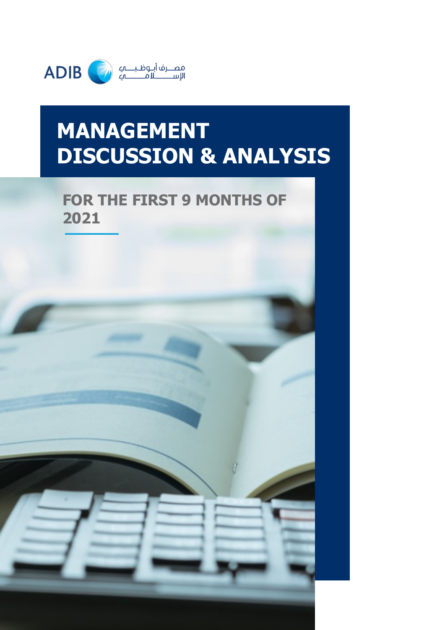

## **MANAGEMENT DISCUSSION & ANALYSIS**

## **FOR THE FIRST 9 MONTHS OF 2021**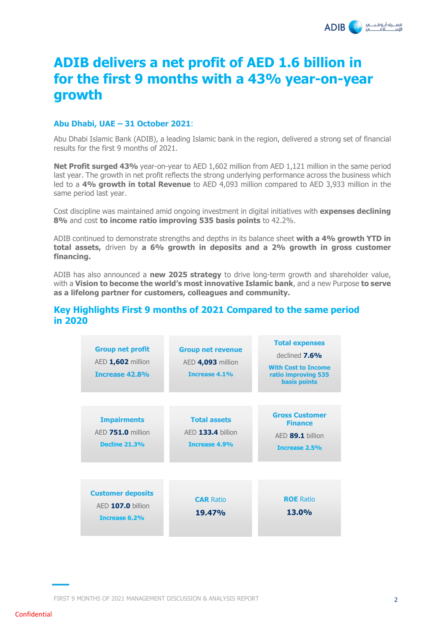

### **ADIB delivers a net profit of AED 1.6 billion in for the first 9 months with a 43% year-on-year growth**

#### **Abu Dhabi, UAE – 31 October 2021**:

Abu Dhabi Islamic Bank (ADIB), a leading Islamic bank in the region, delivered a strong set of financial results for the first 9 months of 2021.

**Net Profit surged 43%** year-on-year to AED 1,602 million from AED 1,121 million in the same period last year. The growth in net profit reflects the strong underlying performance across the business which led to a **4% growth in total Revenue** to AED 4,093 million compared to AED 3,933 million in the same period last year.

Cost discipline was maintained amid ongoing investment in digital initiatives with **expenses declining 8%** and cost **to income ratio improving 535 basis points** to 42.2%.

ADIB continued to demonstrate strengths and depths in its balance sheet **with a 4% growth YTD in total assets,** driven by **a 6% growth in deposits and a 2% growth in gross customer financing.**

ADIB has also announced a **new 2025 strategy** to drive long-term growth and shareholder value, with a **Vision to become the world's most innovative Islamic bank**, and a new Purpose **to serve as a lifelong partner for customers, colleagues and community.**

#### **Key Highlights First 9 months of 2021 Compared to the same period in 2020**

| <b>Group net profit</b><br>AED 1,602 million<br><b>Increase 42.8%</b> | <b>Group net revenue</b><br>AED 4,093 million<br>Increase 4.1% | <b>Total expenses</b><br>declined $7.6\%$<br><b>With Cost to Income</b><br>ratio improving 535<br><b>basis points</b> |
|-----------------------------------------------------------------------|----------------------------------------------------------------|-----------------------------------------------------------------------------------------------------------------------|
| <b>Impairments</b><br>AED 751.0 million<br><b>Decline 21.3%</b>       | <b>Total assets</b><br>AED 133.4 billion<br>Increase 4.9%      | <b>Gross Customer</b><br><b>Finance</b><br>AED 89.1 billion<br>Increase 2.5%                                          |
| <b>Customer deposits</b><br>$AED 107.0$ billion<br>Increase 6.2%      | <b>CAR Ratio</b><br><b>19.47%</b>                              | <b>ROE</b> Ratio<br><b>13.0%</b>                                                                                      |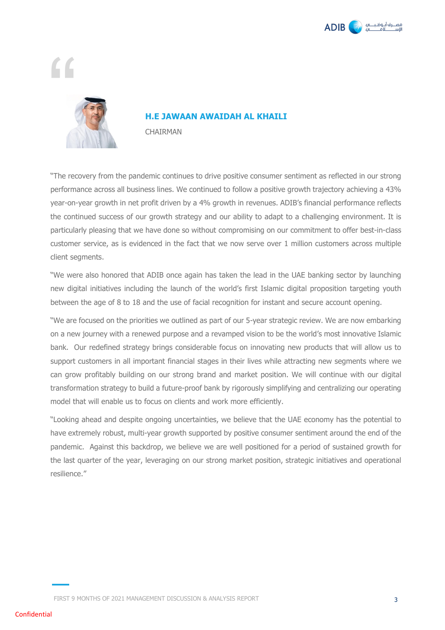

## Í



#### **H.E JAWAAN AWAIDAH AL KHAILI**

CHAIRMAN

"The recovery from the pandemic continues to drive positive consumer sentiment as reflected in our strong performance across all business lines. We continued to follow a positive growth trajectory achieving a 43% year-on-year growth in net profit driven by a 4% growth in revenues. ADIB's financial performance reflects the continued success of our growth strategy and our ability to adapt to a challenging environment. It is particularly pleasing that we have done so without compromising on our commitment to offer best-in-class customer service, as is evidenced in the fact that we now serve over 1 million customers across multiple client segments.

"We were also honored that ADIB once again has taken the lead in the UAE banking sector by launching new digital initiatives including the launch of the world's first Islamic digital proposition targeting youth between the age of 8 to 18 and the use of facial recognition for instant and secure account opening.

"We are focused on the priorities we outlined as part of our 5-year strategic review. We are now embarking on a new journey with a renewed purpose and a revamped vision to be the world's most innovative Islamic bank. Our redefined strategy brings considerable focus on innovating new products that will allow us to support customers in all important financial stages in their lives while attracting new segments where we can grow profitably building on our strong brand and market position. We will continue with our digital transformation strategy to build a future-proof bank by rigorously simplifying and centralizing our operating model that will enable us to focus on clients and work more efficiently.

"Looking ahead and despite ongoing uncertainties, we believe that the UAE economy has the potential to have extremely robust, multi-year growth supported by positive consumer sentiment around the end of the pandemic. Against this backdrop, we believe we are well positioned for a period of sustained growth for the last quarter of the year, leveraging on our strong market position, strategic initiatives and operational resilience."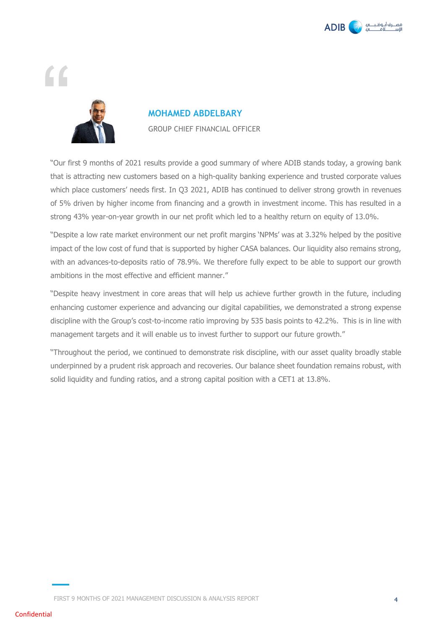

# "



## **MOHAMED ABDELBARY**

GROUP CHIEF FINANCIAL OFFICER

"Our first 9 months of 2021 results provide a good summary of where ADIB stands today, a growing bank that is attracting new customers based on a high-quality banking experience and trusted corporate values which place customers' needs first. In Q3 2021, ADIB has continued to deliver strong growth in revenues of 5% driven by higher income from financing and a growth in investment income. This has resulted in a strong 43% year-on-year growth in our net profit which led to a healthy return on equity of 13.0%.

"Despite a low rate market environment our net profit margins 'NPMs' was at 3.32% helped by the positive impact of the low cost of fund that is supported by higher CASA balances. Our liquidity also remains strong, with an advances-to-deposits ratio of 78.9%. We therefore fully expect to be able to support our growth ambitions in the most effective and efficient manner."

"Despite heavy investment in core areas that will help us achieve further growth in the future, including enhancing customer experience and advancing our digital capabilities, we demonstrated a strong expense discipline with the Group's cost-to-income ratio improving by 535 basis points to 42.2%. This is in line with management targets and it will enable us to invest further to support our future growth."

"Throughout the period, we continued to demonstrate risk discipline, with our asset quality broadly stable underpinned by a prudent risk approach and recoveries. Our balance sheet foundation remains robust, with solid liquidity and funding ratios, and a strong capital position with a CET1 at 13.8%.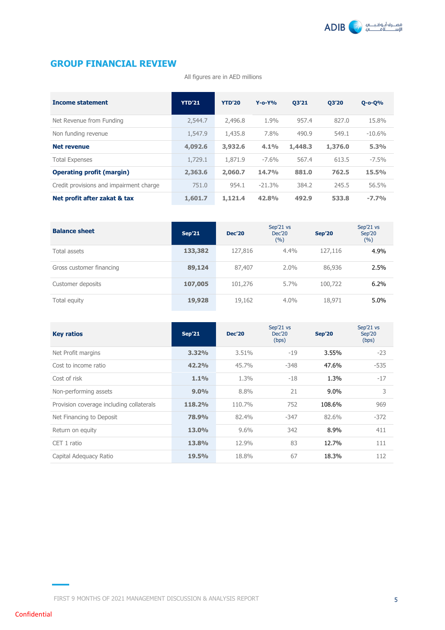

#### **GROUP FINANCIAL REVIEW**

All figures are in AED millions

| <b>Income statement</b>                 | <b>YTD'21</b> | <b>YTD'20</b> | $Y - 0 - Y\%$ | 03'21   | 03'20   | $Q - O - Q$ % |
|-----------------------------------------|---------------|---------------|---------------|---------|---------|---------------|
| Net Revenue from Funding                | 2,544.7       | 2,496.8       | 1.9%          | 957.4   | 827.0   | 15.8%         |
| Non funding revenue                     | 1,547.9       | 1,435.8       | 7.8%          | 490.9   | 549.1   | $-10.6%$      |
| <b>Net revenue</b>                      | 4,092.6       | 3,932.6       | 4.1%          | 1,448.3 | 1,376.0 | 5.3%          |
| <b>Total Expenses</b>                   | 1,729.1       | 1,871.9       | $-7.6\%$      | 567.4   | 613.5   | $-7.5\%$      |
| <b>Operating profit (margin)</b>        | 2,363.6       | 2,060.7       | 14.7%         | 881.0   | 762.5   | 15.5%         |
| Credit provisions and impairment charge | 751.0         | 954.1         | $-21.3%$      | 384.2   | 245.5   | 56.5%         |
| Net profit after zakat & tax            | 1,601.7       | 1,121.4       | 42.8%         | 492.9   | 533.8   | $-7.7%$       |

| <b>Balance sheet</b>     | Sep'21  | <b>Dec'20</b> | Sep'21 vs<br><b>Dec'20</b><br>(%) | <b>Sep'20</b> | Sep'21 vs<br>Sep'20<br>(%) |
|--------------------------|---------|---------------|-----------------------------------|---------------|----------------------------|
| Total assets             | 133,382 | 127,816       | 4.4%                              | 127,116       | 4.9%                       |
| Gross customer financing | 89,124  | 87,407        | 2.0%                              | 86,936        | 2.5%                       |
| Customer deposits        | 107,005 | 101,276       | $5.7\%$                           | 100,722       | 6.2%                       |
| Total equity             | 19,928  | 19,162        | $4.0\%$                           | 18,971        | 5.0%                       |

| <b>Key ratios</b>                        | <b>Sep'21</b> | <b>Dec'20</b> | Sep'21 vs<br>Dec'20<br>(bps) | <b>Sep'20</b> | Sep'21 vs<br>Sep'20<br>(bps) |
|------------------------------------------|---------------|---------------|------------------------------|---------------|------------------------------|
| Net Profit margins                       | 3.32%         | 3.51%         | -19                          | 3.55%         | $-23$                        |
| Cost to income ratio                     | 42.2%         | 45.7%         | $-348$                       | 47.6%         | $-535$                       |
| Cost of risk                             | 1.1%          | 1.3%          | -18                          | 1.3%          | $-17$                        |
| Non-performing assets                    | 9.0%          | 8.8%          | 21                           | $9.0\%$       | 3                            |
| Provision coverage including collaterals | 118.2%        | 110.7%        | 752                          | 108.6%        | 969                          |
| Net Financing to Deposit                 | 78.9%         | 82.4%         | $-347$                       | 82.6%         | $-372$                       |
| Return on equity                         | 13.0%         | 9.6%          | 342                          | 8.9%          | 411                          |
| CET 1 ratio                              | 13.8%         | 12.9%         | 83                           | 12.7%         | 111                          |
| Capital Adequacy Ratio                   | 19.5%         | 18.8%         | 67                           | 18.3%         | 112                          |

FIRST 9 MONTHS OF 2021 MANAGEMENT DISCUSSION & ANALYSIS REPORT 5

Confidential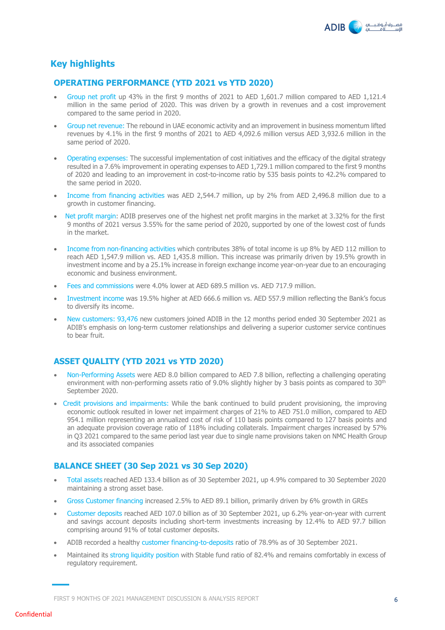

#### **Key highlights**

#### **OPERATING PERFORMANCE (YTD 2021 vs YTD 2020)**

- Group net profit up 43% in the first 9 months of 2021 to AED 1,601.7 million compared to AED 1,121.4 million in the same period of 2020. This was driven by a growth in revenues and a cost improvement compared to the same period in 2020.
- Group net revenue: The rebound in UAE economic activity and an improvement in business momentum lifted revenues by 4.1% in the first 9 months of 2021 to AED 4,092.6 million versus AED 3,932.6 million in the same period of 2020.
- Operating expenses: The successful implementation of cost initiatives and the efficacy of the digital strategy resulted in a 7.6% improvement in operating expenses to AED 1,729.1 million compared to the first 9 months of 2020 and leading to an improvement in cost-to-income ratio by 535 basis points to 42.2% compared to the same period in 2020.
- Income from financing activities was AED 2,544.7 million, up by 2% from AED 2,496.8 million due to a growth in customer financing.
- Net profit margin: ADIB preserves one of the highest net profit margins in the market at 3.32% for the first 9 months of 2021 versus 3.55% for the same period of 2020, supported by one of the lowest cost of funds in the market.
- Income from non-financing activities which contributes 38% of total income is up 8% by AED 112 million to reach AED 1,547.9 million vs. AED 1,435.8 million. This increase was primarily driven by 19.5% growth in investment income and by a 25.1% increase in foreign exchange income year-on-year due to an encouraging economic and business environment.
- Fees and commissions were 4.0% lower at AED 689.5 million vs. AED 717.9 million.
- Investment income was 19.5% higher at AED 666.6 million vs. AED 557.9 million reflecting the Bank's focus to diversify its income.
- New customers: 93,476 new customers joined ADIB in the 12 months period ended 30 September 2021 as ADIB's emphasis on long-term customer relationships and delivering a superior customer service continues to bear fruit.

#### **ASSET QUALITY (YTD 2021 vs YTD 2020)**

- Non-Performing Assets were AED 8.0 billion compared to AED 7.8 billion, reflecting a challenging operating environment with non-performing assets ratio of 9.0% slightly higher by 3 basis points as compared to 30<sup>th</sup> September 2020.
- Credit provisions and impairments: While the bank continued to build prudent provisioning, the improving economic outlook resulted in lower net impairment charges of 21% to AED 751.0 million, compared to AED 954.1 million representing an annualized cost of risk of 110 basis points compared to 127 basis points and an adequate provision coverage ratio of 118% including collaterals. Impairment charges increased by 57% in Q3 2021 compared to the same period last year due to single name provisions taken on NMC Health Group and its associated companies

#### **BALANCE SHEET (30 Sep 2021 vs 30 Sep 2020)**

- Total assets reached AED 133.4 billion as of 30 September 2021, up 4.9% compared to 30 September 2020 maintaining a strong asset base.
- Gross Customer financing increased 2.5% to AED 89.1 billion, primarily driven by 6% growth in GREs
- Customer deposits reached AED 107.0 billion as of 30 September 2021, up 6.2% year-on-year with current and savings account deposits including short-term investments increasing by 12.4% to AED 97.7 billion comprising around 91% of total customer deposits.
- ADIB recorded a healthy customer financing-to-deposits ratio of 78.9% as of 30 September 2021.
- Maintained its strong liquidity position with Stable fund ratio of 82.4% and remains comfortably in excess of regulatory requirement.

FIRST 9 MONTHS OF 2021 MANAGEMENT DISCUSSION & ANALYSIS REPORT 6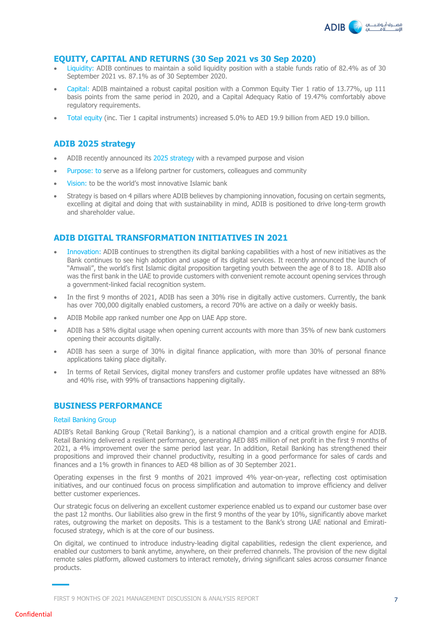

#### **EQUITY, CAPITAL AND RETURNS (30 Sep 2021 vs 30 Sep 2020)**

- Liquidity: ADIB continues to maintain a solid liquidity position with a stable funds ratio of 82.4% as of 30 September 2021 vs. 87.1% as of 30 September 2020.
- Capital: ADIB maintained a robust capital position with a Common Equity Tier 1 ratio of 13.77%, up 111 basis points from the same period in 2020, and a Capital Adequacy Ratio of 19.47% comfortably above regulatory requirements.
- Total equity (inc. Tier 1 capital instruments) increased 5.0% to AED 19.9 billion from AED 19.0 billion.

#### **ADIB 2025 strategy**

- ADIB recently announced its 2025 strategy with a revamped purpose and vision
- Purpose: to serve as a lifelong partner for customers, colleagues and community
- Vision: to be the world's most innovative Islamic bank
- Strategy is based on 4 pillars where ADIB believes by championing innovation, focusing on certain segments, excelling at digital and doing that with sustainability in mind, ADIB is positioned to drive long-term growth and shareholder value.

#### **ADIB DIGITAL TRANSFORMATION INITIATIVES IN 2021**

- Innovation: ADIB continues to strengthen its digital banking capabilities with a host of new initiatives as the Bank continues to see high adoption and usage of its digital services. It recently announced the launch of "Amwali", the world's first Islamic digital proposition targeting youth between the age of 8 to 18. ADIB also was the first bank in the UAE to provide customers with convenient remote account opening services through a government-linked facial recognition system.
- In the first 9 months of 2021, ADIB has seen a 30% rise in digitally active customers. Currently, the bank has over 700,000 digitally enabled customers, a record 70% are active on a daily or weekly basis.
- ADIB Mobile app ranked number one App on UAE App store.
- ADIB has a 58% digital usage when opening current accounts with more than 35% of new bank customers opening their accounts digitally.
- ADIB has seen a surge of 30% in digital finance application, with more than 30% of personal finance applications taking place digitally.
- In terms of Retail Services, digital money transfers and customer profile updates have witnessed an 88% and 40% rise, with 99% of transactions happening digitally.

#### **BUSINESS PERFORMANCE**

#### Retail Banking Group

ADIB's Retail Banking Group ('Retail Banking'), is a national champion and a critical growth engine for ADIB. Retail Banking delivered a resilient performance, generating AED 885 million of net profit in the first 9 months of 2021, a 4% improvement over the same period last year. In addition, Retail Banking has strengthened their propositions and improved their channel productivity, resulting in a good performance for sales of cards and finances and a 1% growth in finances to AED 48 billion as of 30 September 2021.

Operating expenses in the first 9 months of 2021 improved 4% year-on-year, reflecting cost optimisation initiatives, and our continued focus on process simplification and automation to improve efficiency and deliver better customer experiences.

Our strategic focus on delivering an excellent customer experience enabled us to expand our customer base over the past 12 months. Our liabilities also grew in the first 9 months of the year by 10%, significantly above market rates, outgrowing the market on deposits. This is a testament to the Bank's strong UAE national and Emiratifocused strategy, which is at the core of our business.

On digital, we continued to introduce industry-leading digital capabilities, redesign the client experience, and enabled our customers to bank anytime, anywhere, on their preferred channels. The provision of the new digital remote sales platform, allowed customers to interact remotely, driving significant sales across consumer finance products.

FIRST 9 MONTHS OF 2021 MANAGEMENT DISCUSSION & ANALYSIS REPORT 7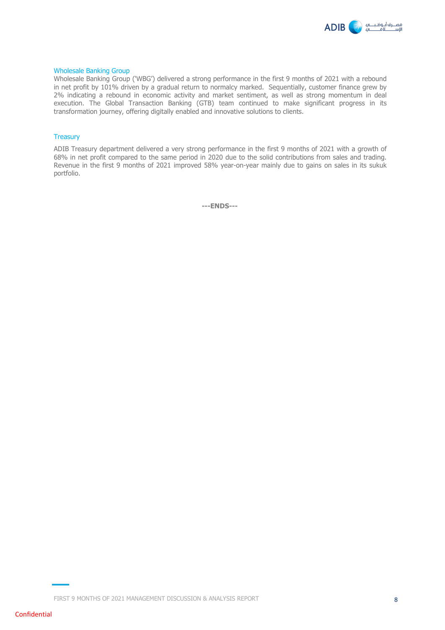

#### Wholesale Banking Group

Wholesale Banking Group ('WBG') delivered a strong performance in the first 9 months of 2021 with a rebound in net profit by 101% driven by a gradual return to normalcy marked. Sequentially, customer finance grew by 2% indicating a rebound in economic activity and market sentiment, as well as strong momentum in deal execution. The Global Transaction Banking (GTB) team continued to make significant progress in its transformation journey, offering digitally enabled and innovative solutions to clients.

#### **Treasury**

ADIB Treasury department delivered a very strong performance in the first 9 months of 2021 with a growth of 68% in net profit compared to the same period in 2020 due to the solid contributions from sales and trading. Revenue in the first 9 months of 2021 improved 58% year-on-year mainly due to gains on sales in its sukuk portfolio.

**---ENDS---**